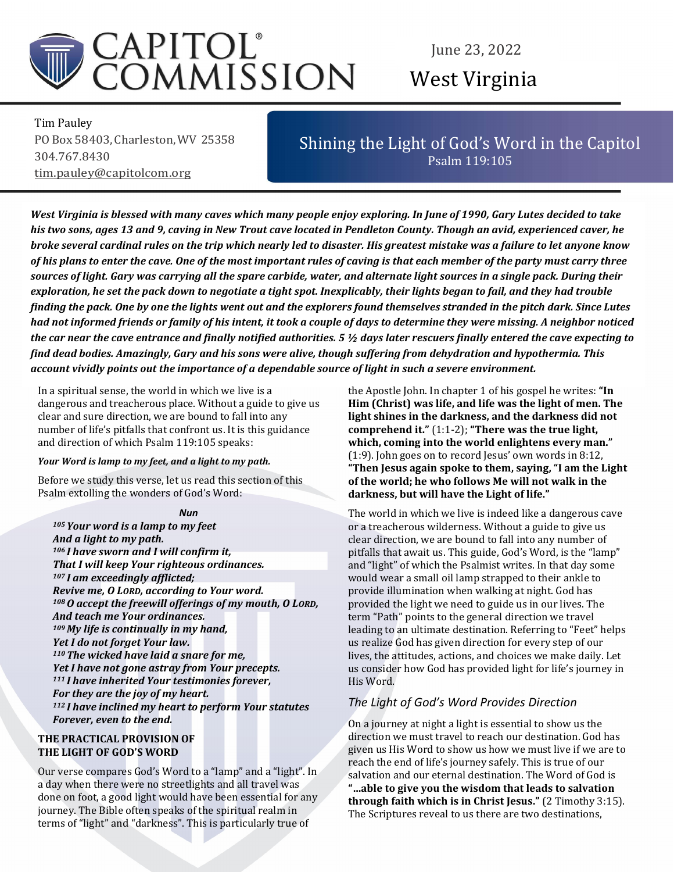

# June 23, 2022 West Virginia

Tim Pauley PO Box 58403, Charleston, WV 25358 304.767.8430 tim.pauley@capitolcom.org

# Shining the Light of God's Word in the Capitol Psalm 119:105

West Virginia is blessed with many caves which many people enjoy exploring. In June of 1990, Gary Lutes decided to take his two sons, ages 13 and 9, caving in New Trout cave located in Pendleton County. Though an avid, experienced caver, he broke several cardinal rules on the trip which nearly led to disaster. His greatest mistake was a failure to let anyone know of his plans to enter the cave. One of the most important rules of caving is that each member of the party must carry three sources of light. Gary was carrying all the spare carbide, water, and alternate light sources in a single pack. During their exploration, he set the pack down to negotiate a tight spot. Inexplicably, their lights began to fail, and they had trouble finding the pack. One by one the lights went out and the explorers found themselves stranded in the pitch dark. Since Lutes had not informed friends or family of his intent, it took a couple of days to determine they were missing. A neighbor noticed the car near the cave entrance and finally notified authorities. 5 ½ days later rescuers finally entered the cave expecting to find dead bodies. Amazingly, Gary and his sons were alive, though suffering from dehydration and hypothermia. This account vividly points out the importance of a dependable source of light in such a severe environment.

In a spiritual sense, the world in which we live is a dangerous and treacherous place. Without a guide to give us clear and sure direction, we are bound to fall into any number of life's pitfalls that confront us. It is this guidance and direction of which Psalm 119:105 speaks:

#### Your Word is lamp to my feet, and a light to my path.

Before we study this verse, let us read this section of this Psalm extolling the wonders of God's Word:

#### Nun

<sup>105</sup>Your word is a lamp to my feet And a light to my path. <sup>106</sup>I have sworn and I will confirm it, That I will keep Your righteous ordinances. <sup>107</sup>I am exceedingly afflicted; Revive me, O LORD, according to Your word. <sup>108</sup>O accept the freewill offerings of my mouth, O LORD, And teach me Your ordinances. <sup>109</sup>My life is continually in my hand, Yet I do not forget Your law.  $110$  The wicked have laid a snare for me, Yet I have not gone astray from Your precepts. <sup>111</sup>I have inherited Your testimonies forever, For they are the joy of my heart. <sup>112</sup>I have inclined my heart to perform Your statutes Forever, even to the end.

### THE PRACTICAL PROVISION OF THE LIGHT OF GOD'S WORD

 terms of "light" and "darkness". This is particularly true of Our verse compares God's Word to a "lamp" and a "light". In a day when there were no streetlights and all travel was done on foot, a good light would have been essential for any journey. The Bible often speaks of the spiritual realm in

the Apostle John. In chapter 1 of his gospel he writes: "In Him (Christ) was life, and life was the light of men. The light shines in the darkness, and the darkness did not comprehend it." (1:1-2); "There was the true light, which, coming into the world enlightens every man." (1:9). John goes on to record Jesus' own words in 8:12, "Then Jesus again spoke to them, saying, "I am the Light of the world; he who follows Me will not walk in the darkness, but will have the Light of life."

The world in which we live is indeed like a dangerous cave or a treacherous wilderness. Without a guide to give us clear direction, we are bound to fall into any number of pitfalls that await us. This guide, God's Word, is the "lamp" and "light" of which the Psalmist writes. In that day some would wear a small oil lamp strapped to their ankle to provide illumination when walking at night. God has provided the light we need to guide us in our lives. The term "Path" points to the general direction we travel leading to an ultimate destination. Referring to "Feet" helps us realize God has given direction for every step of our lives, the attitudes, actions, and choices we make daily. Let us consider how God has provided light for life's journey in His Word.

# The Light of God's Word Provides Direction

On a journey at night a light is essential to show us the direction we must travel to reach our destination. God has given us His Word to show us how we must live if we are to reach the end of life's journey safely. This is true of our salvation and our eternal destination. The Word of God is "…able to give you the wisdom that leads to salvation through faith which is in Christ Jesus." (2 Timothy 3:15). The Scriptures reveal to us there are two destinations,